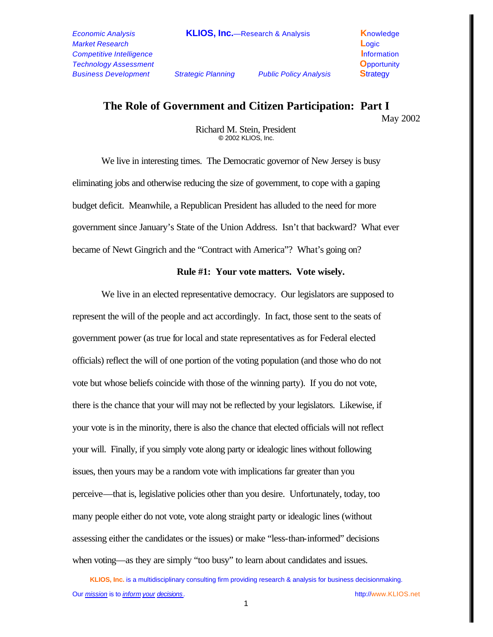## **The Role of Government and Citizen Participation: Part I**

May 2002

Richard M. Stein, President **©** 2002 KLIOS, Inc.

We live in interesting times. The Democratic governor of New Jersey is busy eliminating jobs and otherwise reducing the size of government, to cope with a gaping budget deficit. Meanwhile, a Republican President has alluded to the need for more government since January's State of the Union Address. Isn't that backward? What ever became of Newt Gingrich and the "Contract with America"? What's going on?

## **Rule #1: Your vote matters. Vote wisely.**

We live in an elected representative democracy. Our legislators are supposed to represent the will of the people and act accordingly. In fact, those sent to the seats of government power (as true for local and state representatives as for Federal elected officials) reflect the will of one portion of the voting population (and those who do not vote but whose beliefs coincide with those of the winning party). If you do not vote, there is the chance that your will may not be reflected by your legislators. Likewise, if your vote is in the minority, there is also the chance that elected officials will not reflect your will. Finally, if you simply vote along party or idealogic lines without following issues, then yours may be a random vote with implications far greater than you perceive—that is, legislative policies other than you desire. Unfortunately, today, too many people either do not vote, vote along straight party or idealogic lines (without assessing either the candidates or the issues) or make "less-than-informed" decisions when voting—as they are simply "too busy" to learn about candidates and issues.

**KLIOS, Inc.** is a multidisciplinary consulting firm providing research & analysis for business decisionmaking. Our *mission* is to *inform your decisions .* http://www.KLIOS.net

1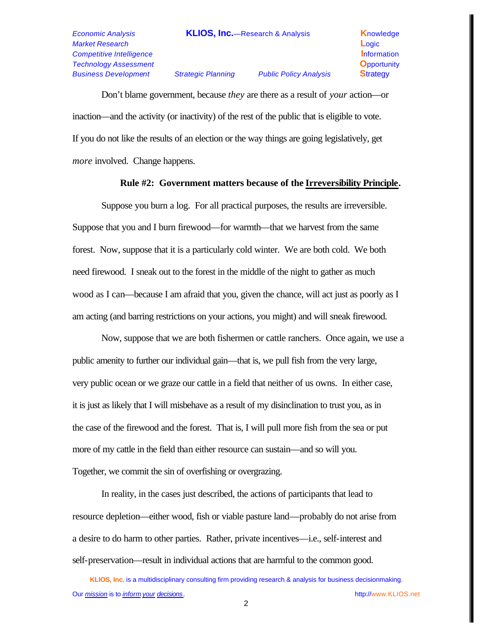## *Market Research* **L**ogic *Competitive Intelligence* **Information Information** *Technology Assessment* **O**pportunity *Business Development Strategic Planning Public Policy Analysis* **S**trategy

Don't blame government, because *they* are there as a result of *your* action—or inaction—and the activity (or inactivity) of the rest of the public that is eligible to vote. If you do not like the results of an election or the way things are going legislatively, get *more* involved. Change happens.

## **Rule #2: Government matters because of the Irreversibility Principle.**

Suppose you burn a log. For all practical purposes, the results are irreversible. Suppose that you and I burn firewood—for warmth—that we harvest from the same forest. Now, suppose that it is a particularly cold winter. We are both cold. We both need firewood. I sneak out to the forest in the middle of the night to gather as much wood as I can—because I am afraid that you, given the chance, will act just as poorly as I am acting (and barring restrictions on your actions, you might) and will sneak firewood.

Now, suppose that we are both fishermen or cattle ranchers. Once again, we use a public amenity to further our individual gain—that is, we pull fish from the very large, very public ocean or we graze our cattle in a field that neither of us owns. In either case, it is just as likely that I will misbehave as a result of my disinclination to trust you, as in the case of the firewood and the forest. That is, I will pull more fish from the sea or put more of my cattle in the field than either resource can sustain—and so will you. Together, we commit the sin of overfishing or overgrazing.

In reality, in the cases just described, the actions of participants that lead to resource depletion—either wood, fish or viable pasture land—probably do not arise from a desire to do harm to other parties. Rather, private incentives—i.e., self-interest and self-preservation—result in individual actions that are harmful to the common good.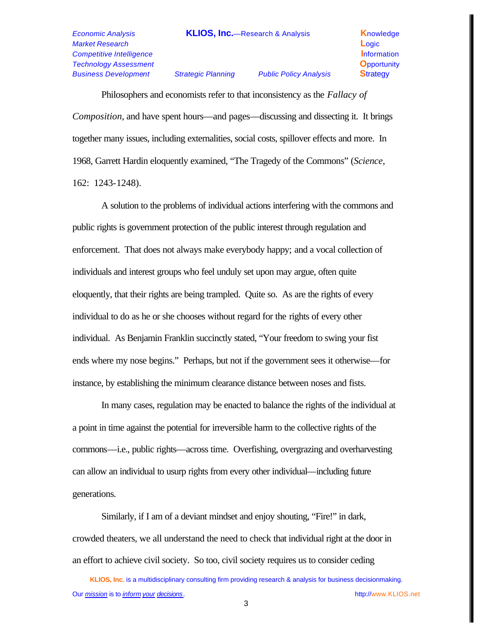*Market Research* **L**ogic *Competitive Intelligence* **Information Information** *Technology Assessment* **O**pportunity *Business Development Strategic Planning Public Policy Analysis* **S**trategy

Philosophers and economists refer to that inconsistency as the *Fallacy of Composition*, and have spent hours—and pages—discussing and dissecting it. It brings together many issues, including externalities, social costs, spillover effects and more. In 1968, Garrett Hardin eloquently examined, "The Tragedy of the Commons" (*Science*, 162: 1243-1248).

A solution to the problems of individual actions interfering with the commons and public rights is government protection of the public interest through regulation and enforcement. That does not always make everybody happy; and a vocal collection of individuals and interest groups who feel unduly set upon may argue, often quite eloquently, that their rights are being trampled. Quite so. As are the rights of every individual to do as he or she chooses without regard for the rights of every other individual. As Benjamin Franklin succinctly stated, "Your freedom to swing your fist ends where my nose begins." Perhaps, but not if the government sees it otherwise—for instance, by establishing the minimum clearance distance between noses and fists.

In many cases, regulation may be enacted to balance the rights of the individual at a point in time against the potential for irreversible harm to the collective rights of the commons—i.e., public rights—across time. Overfishing, overgrazing and overharvesting can allow an individual to usurp rights from every other individual—including future generations.

Similarly, if I am of a deviant mindset and enjoy shouting, "Fire!" in dark, crowded theaters, we all understand the need to check that individual right at the door in an effort to achieve civil society. So too, civil society requires us to consider ceding